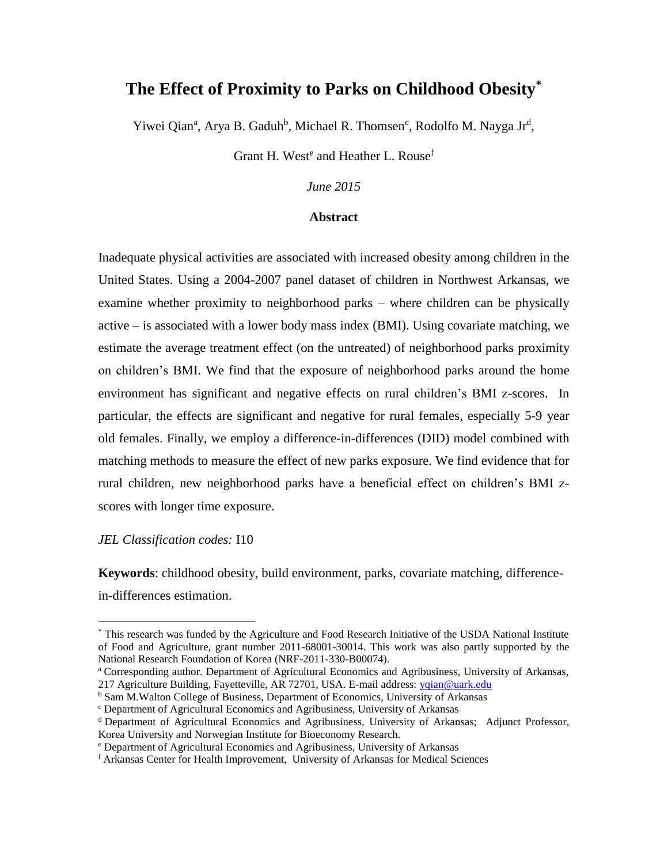# **The Effect of Proximity to Parks on Childhood Obesity\***

Yiwei Qian<sup>a</sup>, Arya B. Gaduh<sup>b</sup>, Michael R. Thomsen<sup>c</sup>, Rodolfo M. Nayga Jr<sup>d</sup>,

Grant H. West<sup>e</sup> and Heather L. Rouse<sup>f</sup>

*June 2015*

#### **Abstract**

Inadequate physical activities are associated with increased obesity among children in the United States. Using a 2004-2007 panel dataset of children in Northwest Arkansas, we examine whether proximity to neighborhood parks – where children can be physically active – is associated with a lower body mass index (BMI). Using covariate matching, we estimate the average treatment effect (on the untreated) of neighborhood parks proximity on children's BMI. We find that the exposure of neighborhood parks around the home environment has significant and negative effects on rural children's BMI z-scores. In particular, the effects are significant and negative for rural females, especially 5-9 year old females. Finally, we employ a difference-in-differences (DID) model combined with matching methods to measure the effect of new parks exposure. We find evidence that for rural children, new neighborhood parks have a beneficial effect on children's BMI zscores with longer time exposure.

*JEL Classification codes:* I10

 $\overline{\phantom{a}}$ 

**Keywords**: childhood obesity, build environment, parks, covariate matching, differencein-differences estimation.

<sup>a</sup> Corresponding author. Department of Agricultural Economics and Agribusiness, University of Arkansas, 217 Agriculture Building, Fayetteville, AR 72701, USA. E-mail address[: yqian@uark.edu](mailto:yqian@uark.edu)

<sup>\*</sup> This research was funded by the Agriculture and Food Research Initiative of the USDA National Institute of Food and Agriculture, grant number 2011-68001-30014. This work was also partly supported by the National Research Foundation of Korea (NRF-2011-330-B00074).

**b Sam M.Walton College of Business, Department of Economics, University of Arkansas** 

<sup>c</sup> Department of Agricultural Economics and Agribusiness, University of Arkansas

<sup>d</sup> Department of Agricultural Economics and Agribusiness, University of Arkansas; Adjunct Professor, Korea University and Norwegian Institute for Bioeconomy Research.

<sup>e</sup> Department of Agricultural Economics and Agribusiness, University of Arkansas

<sup>f</sup> Arkansas Center for Health Improvement, University of Arkansas for Medical Sciences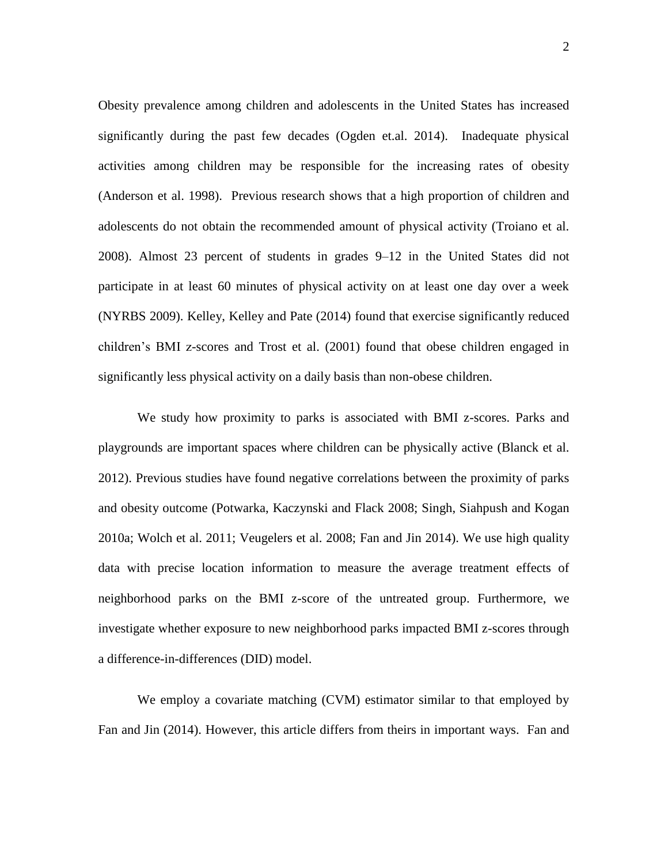Obesity prevalence among children and adolescents in the United States has increased significantly during the past few decades (Ogden et.al. 2014). Inadequate physical activities among children may be responsible for the increasing rates of obesity (Anderson et al. 1998). Previous research shows that a high proportion of children and adolescents do not obtain the recommended amount of physical activity (Troiano et al. 2008). Almost 23 percent of students in grades 9–12 in the United States did not participate in at least 60 minutes of physical activity on at least one day over a week (NYRBS 2009). Kelley, Kelley and Pate (2014) found that exercise significantly reduced children's BMI z-scores and Trost et al. (2001) found that obese children engaged in significantly less physical activity on a daily basis than non-obese children.

We study how proximity to parks is associated with BMI z-scores. Parks and playgrounds are important spaces where children can be physically active (Blanck et al. 2012). Previous studies have found negative correlations between the proximity of parks and obesity outcome (Potwarka, Kaczynski and Flack 2008; Singh, Siahpush and Kogan 2010a; Wolch et al. 2011; Veugelers et al. 2008; Fan and Jin 2014). We use high quality data with precise location information to measure the average treatment effects of neighborhood parks on the BMI z-score of the untreated group. Furthermore, we investigate whether exposure to new neighborhood parks impacted BMI z-scores through a difference-in-differences (DID) model.

We employ a covariate matching (CVM) estimator similar to that employed by Fan and Jin (2014). However, this article differs from theirs in important ways. Fan and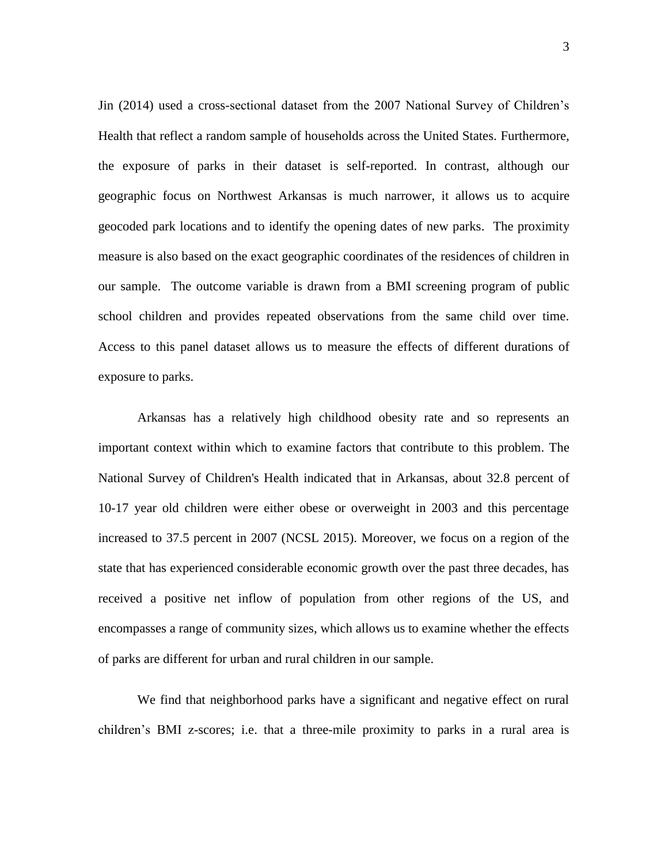Jin (2014) used a cross-sectional dataset from the 2007 National Survey of Children's Health that reflect a random sample of households across the United States. Furthermore, the exposure of parks in their dataset is self-reported. In contrast, although our geographic focus on Northwest Arkansas is much narrower, it allows us to acquire geocoded park locations and to identify the opening dates of new parks. The proximity measure is also based on the exact geographic coordinates of the residences of children in our sample. The outcome variable is drawn from a BMI screening program of public school children and provides repeated observations from the same child over time. Access to this panel dataset allows us to measure the effects of different durations of exposure to parks.

Arkansas has a relatively high childhood obesity rate and so represents an important context within which to examine factors that contribute to this problem. The National Survey of Children's Health indicated that in Arkansas, about 32.8 percent of 10-17 year old children were either obese or overweight in 2003 and this percentage increased to 37.5 percent in 2007 (NCSL 2015). Moreover, we focus on a region of the state that has experienced considerable economic growth over the past three decades, has received a positive net inflow of population from other regions of the US, and encompasses a range of community sizes, which allows us to examine whether the effects of parks are different for urban and rural children in our sample.

We find that neighborhood parks have a significant and negative effect on rural children's BMI z-scores; i.e. that a three-mile proximity to parks in a rural area is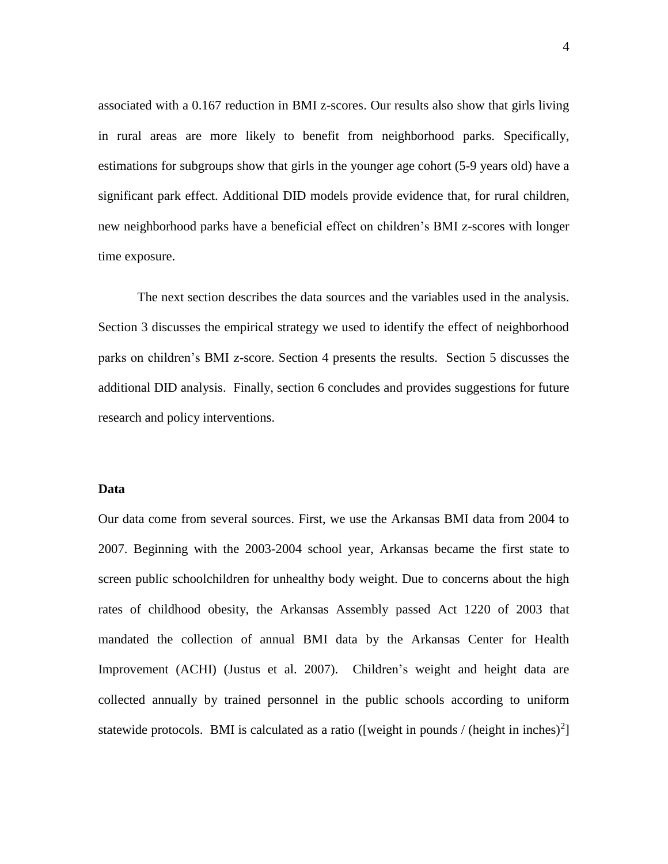associated with a 0.167 reduction in BMI z-scores. Our results also show that girls living in rural areas are more likely to benefit from neighborhood parks. Specifically, estimations for subgroups show that girls in the younger age cohort (5-9 years old) have a significant park effect. Additional DID models provide evidence that, for rural children, new neighborhood parks have a beneficial effect on children's BMI z-scores with longer time exposure.

The next section describes the data sources and the variables used in the analysis. Section 3 discusses the empirical strategy we used to identify the effect of neighborhood parks on children's BMI z-score. Section 4 presents the results. Section 5 discusses the additional DID analysis. Finally, section 6 concludes and provides suggestions for future research and policy interventions.

#### **Data**

Our data come from several sources. First, we use the Arkansas BMI data from 2004 to 2007. Beginning with the 2003-2004 school year, Arkansas became the first state to screen public schoolchildren for unhealthy body weight. Due to concerns about the high rates of childhood obesity, the Arkansas Assembly passed Act 1220 of 2003 that mandated the collection of annual BMI data by the Arkansas Center for Health Improvement (ACHI) (Justus et al. 2007). Children's weight and height data are collected annually by trained personnel in the public schools according to uniform statewide protocols. BMI is calculated as a ratio ([weight in pounds / (height in inches) $^{2}$ ]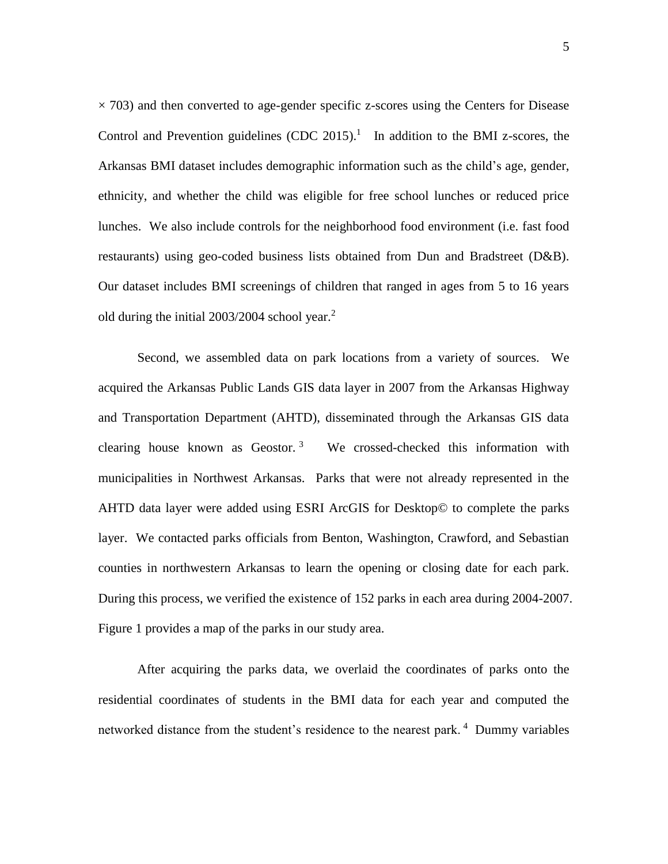$\times$  703) and then converted to age-gender specific z-scores using the Centers for Disease Control and Prevention guidelines  $(CDC 2015)$ .<sup>1</sup> In addition to the BMI z-scores, the Arkansas BMI dataset includes demographic information such as the child's age, gender, ethnicity, and whether the child was eligible for free school lunches or reduced price lunches. We also include controls for the neighborhood food environment (i.e. fast food restaurants) using geo-coded business lists obtained from Dun and Bradstreet (D&B). Our dataset includes BMI screenings of children that ranged in ages from 5 to 16 years old during the initial 2003/2004 school year. 2

Second, we assembled data on park locations from a variety of sources. We acquired the Arkansas Public Lands GIS data layer in 2007 from the Arkansas Highway and Transportation Department (AHTD), disseminated through the Arkansas GIS data clearing house known as Geostor. <sup>3</sup> We crossed-checked this information with municipalities in Northwest Arkansas. Parks that were not already represented in the AHTD data layer were added using ESRI ArcGIS for Desktop© to complete the parks layer. We contacted parks officials from Benton, Washington, Crawford, and Sebastian counties in northwestern Arkansas to learn the opening or closing date for each park. During this process, we verified the existence of 152 parks in each area during 2004-2007. Figure 1 provides a map of the parks in our study area.

After acquiring the parks data, we overlaid the coordinates of parks onto the residential coordinates of students in the BMI data for each year and computed the networked distance from the student's residence to the nearest park.<sup>4</sup> Dummy variables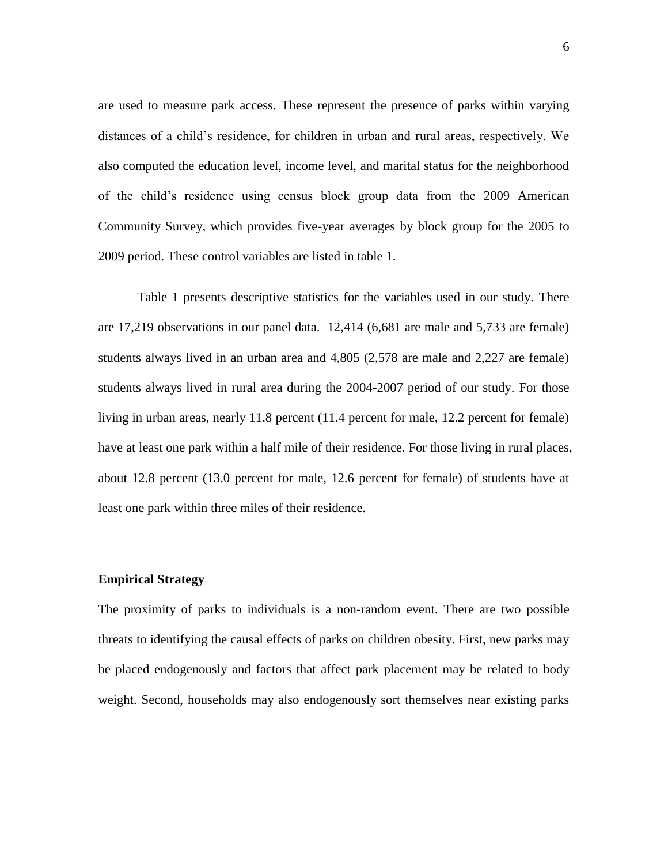are used to measure park access. These represent the presence of parks within varying distances of a child's residence, for children in urban and rural areas, respectively. We also computed the education level, income level, and marital status for the neighborhood of the child's residence using census block group data from the 2009 American Community Survey, which provides five-year averages by block group for the 2005 to 2009 period. These control variables are listed in table 1.

Table 1 presents descriptive statistics for the variables used in our study. There are 17,219 observations in our panel data. 12,414 (6,681 are male and 5,733 are female) students always lived in an urban area and 4,805 (2,578 are male and 2,227 are female) students always lived in rural area during the 2004-2007 period of our study. For those living in urban areas, nearly 11.8 percent (11.4 percent for male, 12.2 percent for female) have at least one park within a half mile of their residence. For those living in rural places, about 12.8 percent (13.0 percent for male, 12.6 percent for female) of students have at least one park within three miles of their residence.

#### **Empirical Strategy**

The proximity of parks to individuals is a non-random event. There are two possible threats to identifying the causal effects of parks on children obesity. First, new parks may be placed endogenously and factors that affect park placement may be related to body weight. Second, households may also endogenously sort themselves near existing parks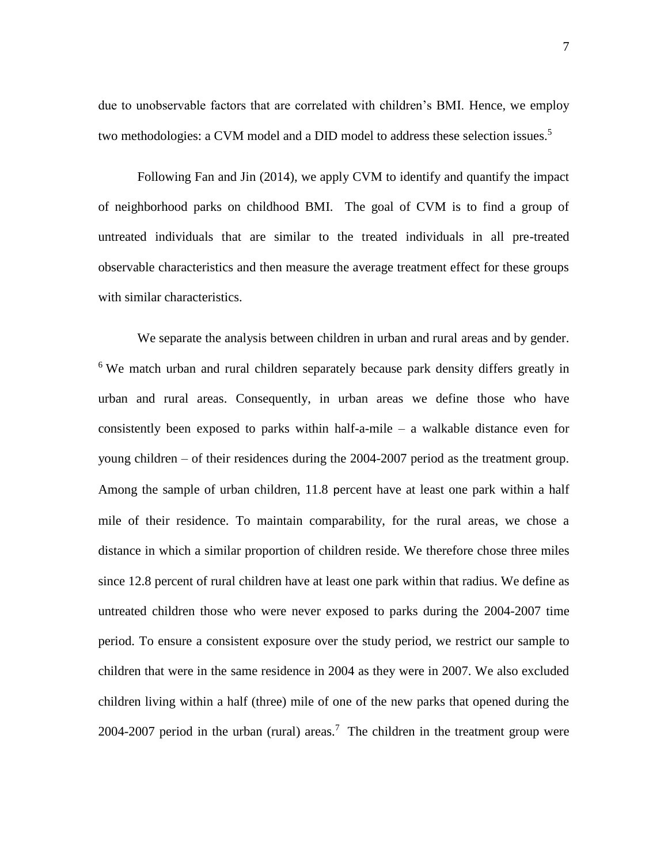due to unobservable factors that are correlated with children's BMI. Hence, we employ two methodologies: a CVM model and a DID model to address these selection issues.<sup>5</sup>

Following Fan and Jin (2014), we apply CVM to identify and quantify the impact of neighborhood parks on childhood BMI. The goal of CVM is to find a group of untreated individuals that are similar to the treated individuals in all pre-treated observable characteristics and then measure the average treatment effect for these groups with similar characteristics.

We separate the analysis between children in urban and rural areas and by gender. <sup>6</sup> We match urban and rural children separately because park density differs greatly in urban and rural areas. Consequently, in urban areas we define those who have consistently been exposed to parks within half-a-mile – a walkable distance even for young children – of their residences during the 2004-2007 period as the treatment group. Among the sample of urban children, 11.8 percent have at least one park within a half mile of their residence. To maintain comparability, for the rural areas, we chose a distance in which a similar proportion of children reside. We therefore chose three miles since 12.8 percent of rural children have at least one park within that radius. We define as untreated children those who were never exposed to parks during the 2004-2007 time period. To ensure a consistent exposure over the study period, we restrict our sample to children that were in the same residence in 2004 as they were in 2007. We also excluded children living within a half (three) mile of one of the new parks that opened during the 2004-2007 period in the urban (rural) areas.<sup>7</sup> The children in the treatment group were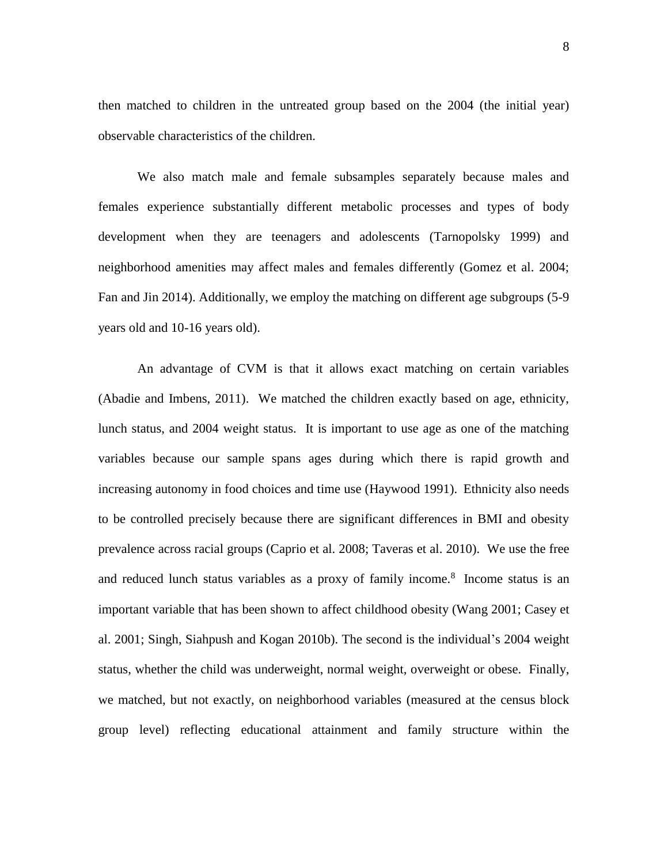then matched to children in the untreated group based on the 2004 (the initial year) observable characteristics of the children.

We also match male and female subsamples separately because males and females experience substantially different metabolic processes and types of body development when they are teenagers and adolescents (Tarnopolsky 1999) and neighborhood amenities may affect males and females differently (Gomez et al. 2004; Fan and Jin 2014). Additionally, we employ the matching on different age subgroups (5-9 years old and 10-16 years old).

An advantage of CVM is that it allows exact matching on certain variables (Abadie and Imbens, 2011). We matched the children exactly based on age, ethnicity, lunch status, and 2004 weight status. It is important to use age as one of the matching variables because our sample spans ages during which there is rapid growth and increasing autonomy in food choices and time use (Haywood 1991). Ethnicity also needs to be controlled precisely because there are significant differences in BMI and obesity prevalence across racial groups (Caprio et al. 2008; Taveras et al. 2010). We use the free and reduced lunch status variables as a proxy of family income.<sup>8</sup> Income status is an important variable that has been shown to affect childhood obesity (Wang 2001; Casey et al. 2001; Singh, Siahpush and Kogan 2010b). The second is the individual's 2004 weight status, whether the child was underweight, normal weight, overweight or obese. Finally, we matched, but not exactly, on neighborhood variables (measured at the census block group level) reflecting educational attainment and family structure within the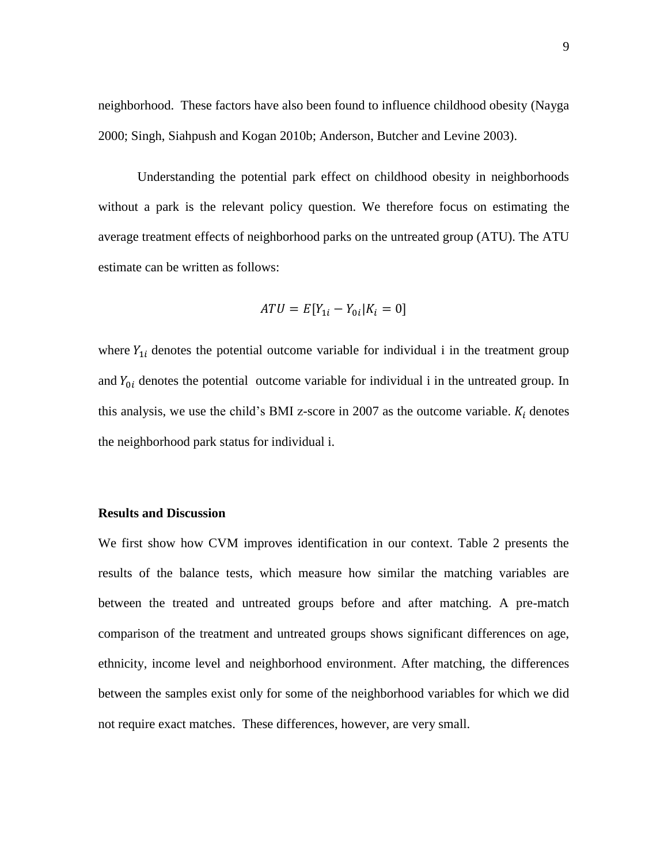neighborhood. These factors have also been found to influence childhood obesity (Nayga 2000; Singh, Siahpush and Kogan 2010b; Anderson, Butcher and Levine 2003).

Understanding the potential park effect on childhood obesity in neighborhoods without a park is the relevant policy question. We therefore focus on estimating the average treatment effects of neighborhood parks on the untreated group (ATU). The ATU estimate can be written as follows:

$$
ATU = E[Y_{1i} - Y_{0i} | K_i = 0]
$$

where  $Y_{1i}$  denotes the potential outcome variable for individual i in the treatment group and  $Y_{0i}$  denotes the potential outcome variable for individual i in the untreated group. In this analysis, we use the child's BMI z-score in 2007 as the outcome variable.  $K_i$  denotes the neighborhood park status for individual i.

#### **Results and Discussion**

We first show how CVM improves identification in our context. Table 2 presents the results of the balance tests, which measure how similar the matching variables are between the treated and untreated groups before and after matching. A pre-match comparison of the treatment and untreated groups shows significant differences on age, ethnicity, income level and neighborhood environment. After matching, the differences between the samples exist only for some of the neighborhood variables for which we did not require exact matches. These differences, however, are very small.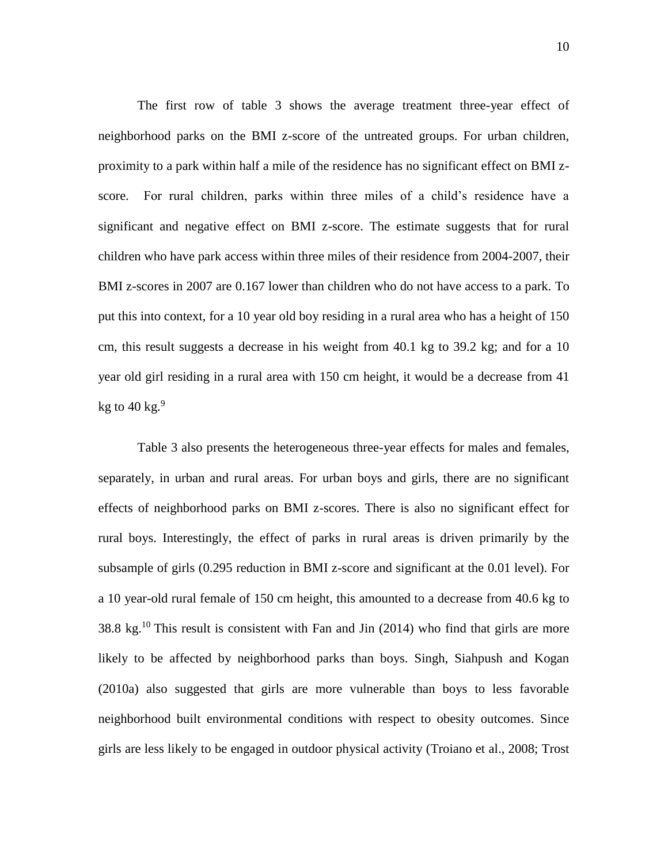The first row of table 3 shows the average treatment three-year effect of neighborhood parks on the BMI z-score of the untreated groups. For urban children, proximity to a park within half a mile of the residence has no significant effect on BMI zscore. For rural children, parks within three miles of a child's residence have a significant and negative effect on BMI z-score. The estimate suggests that for rural children who have park access within three miles of their residence from 2004-2007, their BMI z-scores in 2007 are 0.167 lower than children who do not have access to a park. To put this into context, for a 10 year old boy residing in a rural area who has a height of 150 cm, this result suggests a decrease in his weight from 40.1 kg to 39.2 kg; and for a 10 year old girl residing in a rural area with 150 cm height, it would be a decrease from 41 kg to 40 kg. $^9$ 

Table 3 also presents the heterogeneous three-year effects for males and females, separately, in urban and rural areas. For urban boys and girls, there are no significant effects of neighborhood parks on BMI z-scores. There is also no significant effect for rural boys. Interestingly, the effect of parks in rural areas is driven primarily by the subsample of girls (0.295 reduction in BMI z-score and significant at the 0.01 level). For a 10 year-old rural female of 150 cm height, this amounted to a decrease from 40.6 kg to 38.8 kg.<sup>10</sup> This result is consistent with Fan and Jin (2014) who find that girls are more likely to be affected by neighborhood parks than boys. Singh, Siahpush and Kogan (2010a) also suggested that girls are more vulnerable than boys to less favorable neighborhood built environmental conditions with respect to obesity outcomes. Since girls are less likely to be engaged in outdoor physical activity (Troiano et al., 2008; Trost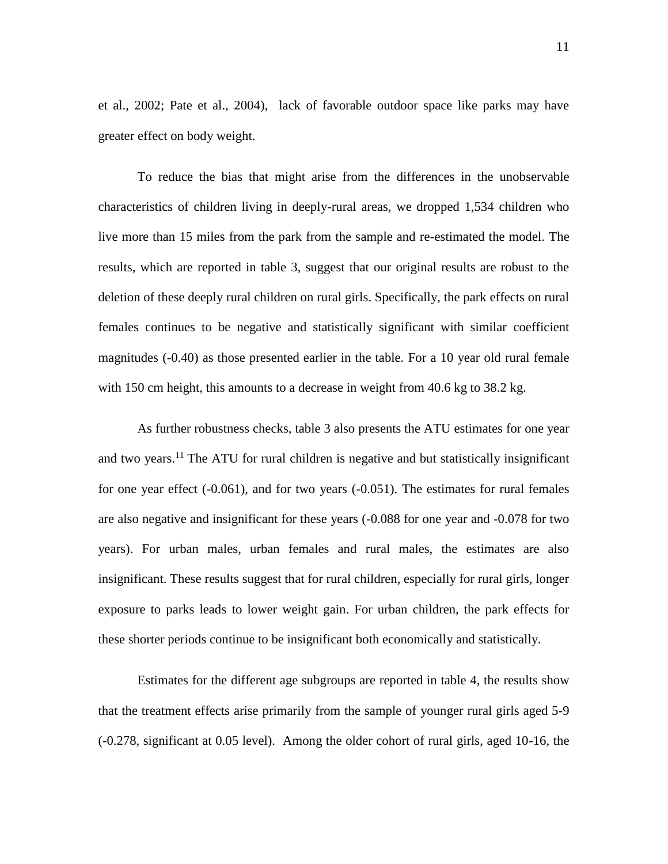et al., 2002; Pate et al., 2004), lack of favorable outdoor space like parks may have greater effect on body weight.

To reduce the bias that might arise from the differences in the unobservable characteristics of children living in deeply-rural areas, we dropped 1,534 children who live more than 15 miles from the park from the sample and re-estimated the model. The results, which are reported in table 3, suggest that our original results are robust to the deletion of these deeply rural children on rural girls. Specifically, the park effects on rural females continues to be negative and statistically significant with similar coefficient magnitudes (-0.40) as those presented earlier in the table. For a 10 year old rural female with 150 cm height, this amounts to a decrease in weight from 40.6 kg to 38.2 kg.

As further robustness checks, table 3 also presents the ATU estimates for one year and two years.<sup>11</sup> The ATU for rural children is negative and but statistically insignificant for one year effect (-0.061), and for two years (-0.051). The estimates for rural females are also negative and insignificant for these years (-0.088 for one year and -0.078 for two years). For urban males, urban females and rural males, the estimates are also insignificant. These results suggest that for rural children, especially for rural girls, longer exposure to parks leads to lower weight gain. For urban children, the park effects for these shorter periods continue to be insignificant both economically and statistically.

Estimates for the different age subgroups are reported in table 4, the results show that the treatment effects arise primarily from the sample of younger rural girls aged 5-9 (-0.278, significant at 0.05 level). Among the older cohort of rural girls, aged 10-16, the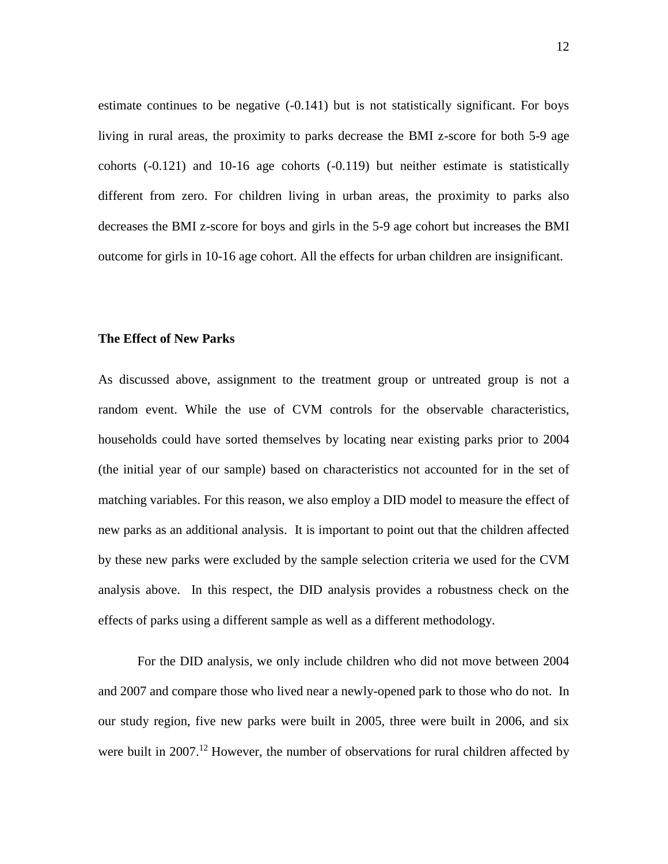estimate continues to be negative (-0.141) but is not statistically significant. For boys living in rural areas, the proximity to parks decrease the BMI z-score for both 5-9 age cohorts (-0.121) and 10-16 age cohorts (-0.119) but neither estimate is statistically different from zero. For children living in urban areas, the proximity to parks also decreases the BMI z-score for boys and girls in the 5-9 age cohort but increases the BMI outcome for girls in 10-16 age cohort. All the effects for urban children are insignificant.

#### **The Effect of New Parks**

As discussed above, assignment to the treatment group or untreated group is not a random event. While the use of CVM controls for the observable characteristics, households could have sorted themselves by locating near existing parks prior to 2004 (the initial year of our sample) based on characteristics not accounted for in the set of matching variables. For this reason, we also employ a DID model to measure the effect of new parks as an additional analysis. It is important to point out that the children affected by these new parks were excluded by the sample selection criteria we used for the CVM analysis above. In this respect, the DID analysis provides a robustness check on the effects of parks using a different sample as well as a different methodology.

For the DID analysis, we only include children who did not move between 2004 and 2007 and compare those who lived near a newly-opened park to those who do not. In our study region, five new parks were built in 2005, three were built in 2006, and six were built in  $2007$ .<sup>12</sup> However, the number of observations for rural children affected by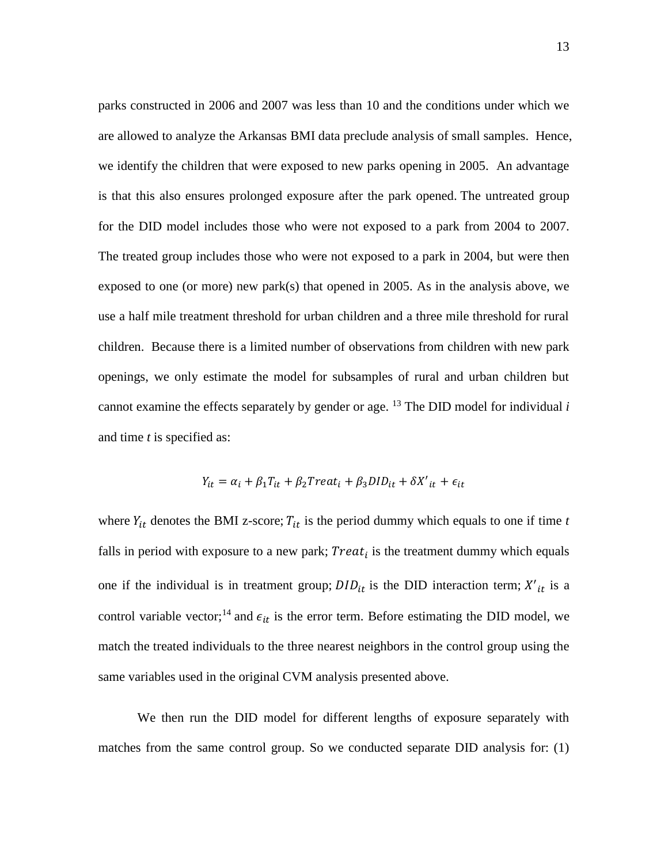parks constructed in 2006 and 2007 was less than 10 and the conditions under which we are allowed to analyze the Arkansas BMI data preclude analysis of small samples. Hence, we identify the children that were exposed to new parks opening in 2005. An advantage is that this also ensures prolonged exposure after the park opened. The untreated group for the DID model includes those who were not exposed to a park from 2004 to 2007. The treated group includes those who were not exposed to a park in 2004, but were then exposed to one (or more) new park(s) that opened in 2005. As in the analysis above, we use a half mile treatment threshold for urban children and a three mile threshold for rural children. Because there is a limited number of observations from children with new park openings, we only estimate the model for subsamples of rural and urban children but cannot examine the effects separately by gender or age.  $^{13}$  The DID model for individual *i* and time *t* is specified as:

$$
Y_{it} = \alpha_i + \beta_1 T_{it} + \beta_2 Treat_i + \beta_3 DID_{it} + \delta X'_{it} + \epsilon_{it}
$$

where  $Y_{it}$  denotes the BMI z-score;  $T_{it}$  is the period dummy which equals to one if time *t* falls in period with exposure to a new park;  $Treat_i$  is the treatment dummy which equals one if the individual is in treatment group;  $DID_{it}$  is the DID interaction term;  $X'_{it}$  is a control variable vector;<sup>14</sup> and  $\epsilon_{it}$  is the error term. Before estimating the DID model, we match the treated individuals to the three nearest neighbors in the control group using the same variables used in the original CVM analysis presented above.

We then run the DID model for different lengths of exposure separately with matches from the same control group. So we conducted separate DID analysis for: (1)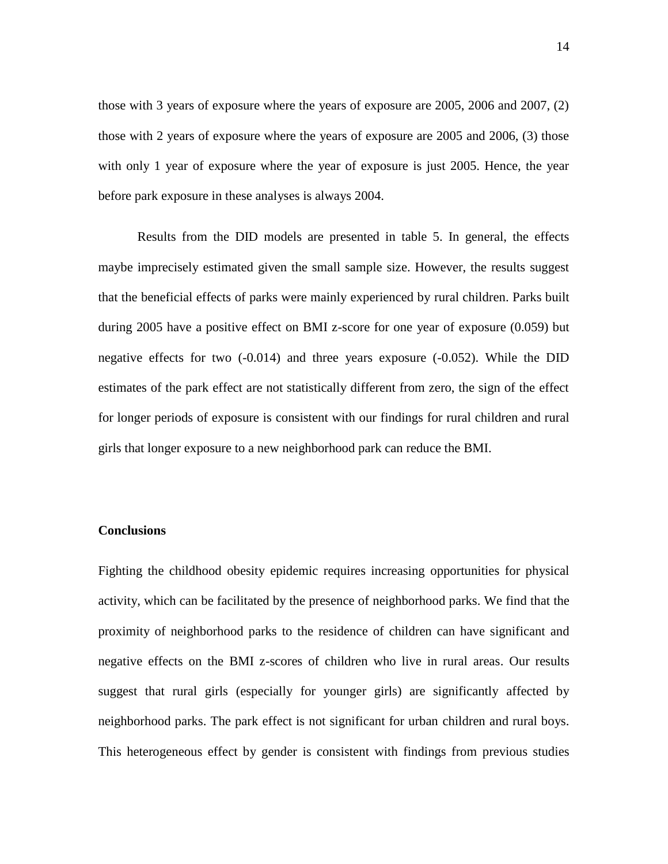those with 3 years of exposure where the years of exposure are 2005, 2006 and 2007, (2) those with 2 years of exposure where the years of exposure are 2005 and 2006, (3) those with only 1 year of exposure where the year of exposure is just 2005. Hence, the year before park exposure in these analyses is always 2004.

Results from the DID models are presented in table 5. In general, the effects maybe imprecisely estimated given the small sample size. However, the results suggest that the beneficial effects of parks were mainly experienced by rural children. Parks built during 2005 have a positive effect on BMI z-score for one year of exposure (0.059) but negative effects for two (-0.014) and three years exposure (-0.052). While the DID estimates of the park effect are not statistically different from zero, the sign of the effect for longer periods of exposure is consistent with our findings for rural children and rural girls that longer exposure to a new neighborhood park can reduce the BMI.

#### **Conclusions**

Fighting the childhood obesity epidemic requires increasing opportunities for physical activity, which can be facilitated by the presence of neighborhood parks. We find that the proximity of neighborhood parks to the residence of children can have significant and negative effects on the BMI z-scores of children who live in rural areas. Our results suggest that rural girls (especially for younger girls) are significantly affected by neighborhood parks. The park effect is not significant for urban children and rural boys. This heterogeneous effect by gender is consistent with findings from previous studies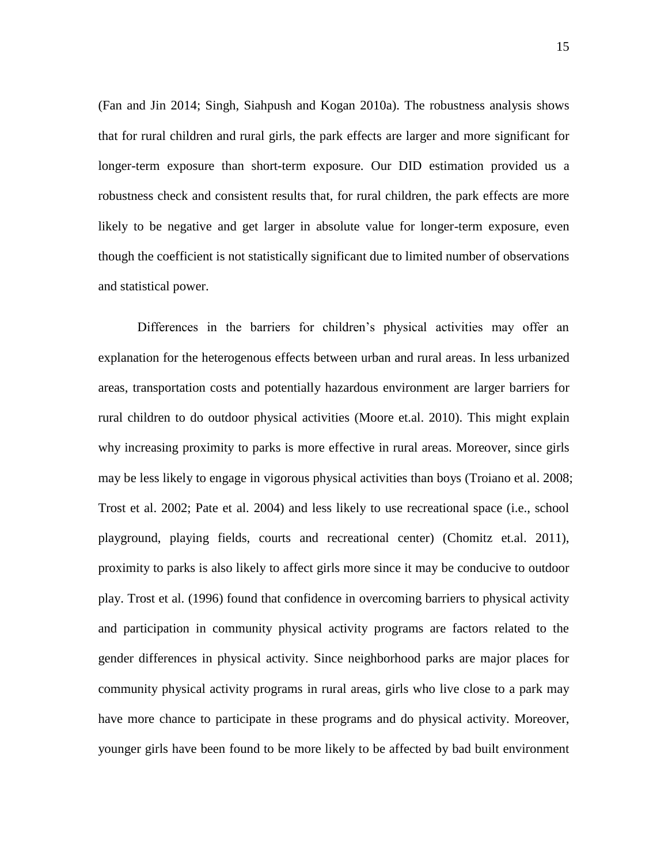(Fan and Jin 2014; Singh, Siahpush and Kogan 2010a). The robustness analysis shows that for rural children and rural girls, the park effects are larger and more significant for longer-term exposure than short-term exposure. Our DID estimation provided us a robustness check and consistent results that, for rural children, the park effects are more likely to be negative and get larger in absolute value for longer-term exposure, even though the coefficient is not statistically significant due to limited number of observations and statistical power.

Differences in the barriers for children's physical activities may offer an explanation for the heterogenous effects between urban and rural areas. In less urbanized areas, transportation costs and potentially hazardous environment are larger barriers for rural children to do outdoor physical activities (Moore et.al. 2010). This might explain why increasing proximity to parks is more effective in rural areas. Moreover, since girls may be less likely to engage in vigorous physical activities than boys (Troiano et al. 2008; Trost et al. 2002; Pate et al. 2004) and less likely to use recreational space (i.e., school playground, playing fields, courts and recreational center) (Chomitz et.al. 2011), proximity to parks is also likely to affect girls more since it may be conducive to outdoor play. Trost et al. (1996) found that confidence in overcoming barriers to physical activity and participation in community physical activity programs are factors related to the gender differences in physical activity. Since neighborhood parks are major places for community physical activity programs in rural areas, girls who live close to a park may have more chance to participate in these programs and do physical activity. Moreover, younger girls have been found to be more likely to be affected by bad built environment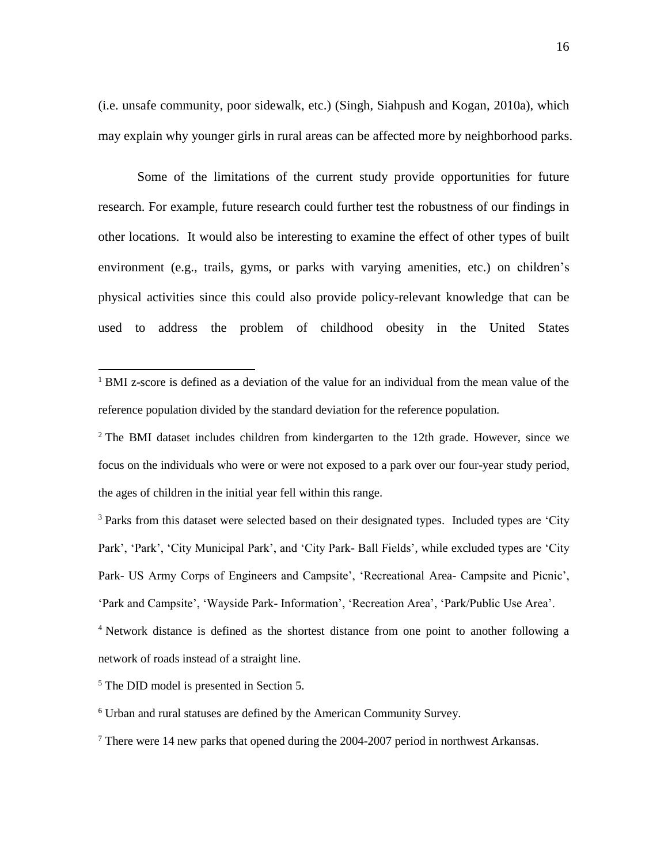(i.e. unsafe community, poor sidewalk, etc.) (Singh, Siahpush and Kogan, 2010a), which may explain why younger girls in rural areas can be affected more by neighborhood parks.

Some of the limitations of the current study provide opportunities for future research. For example, future research could further test the robustness of our findings in other locations. It would also be interesting to examine the effect of other types of built environment (e.g., trails, gyms, or parks with varying amenities, etc.) on children's physical activities since this could also provide policy-relevant knowledge that can be used to address the problem of childhood obesity in the United States

<sup>3</sup> Parks from this dataset were selected based on their designated types. Included types are 'City Park', 'Park', 'City Municipal Park', and 'City Park- Ball Fields', while excluded types are 'City Park- US Army Corps of Engineers and Campsite', 'Recreational Area- Campsite and Picnic', 'Park and Campsite', 'Wayside Park- Information', 'Recreation Area', 'Park/Public Use Area'.

<sup>4</sup> Network distance is defined as the shortest distance from one point to another following a network of roads instead of a straight line.

<sup>5</sup> The DID model is presented in Section 5.

 $\overline{a}$ 

<sup>6</sup> Urban and rural statuses are defined by the American Community Survey.

 $7$  There were 14 new parks that opened during the 2004-2007 period in northwest Arkansas.

<sup>&</sup>lt;sup>1</sup> BMI z-score is defined as a deviation of the value for an individual from the mean value of the reference population divided by the standard deviation for the reference population.

<sup>&</sup>lt;sup>2</sup> The BMI dataset includes children from kindergarten to the 12th grade. However, since we focus on the individuals who were or were not exposed to a park over our four-year study period, the ages of children in the initial year fell within this range.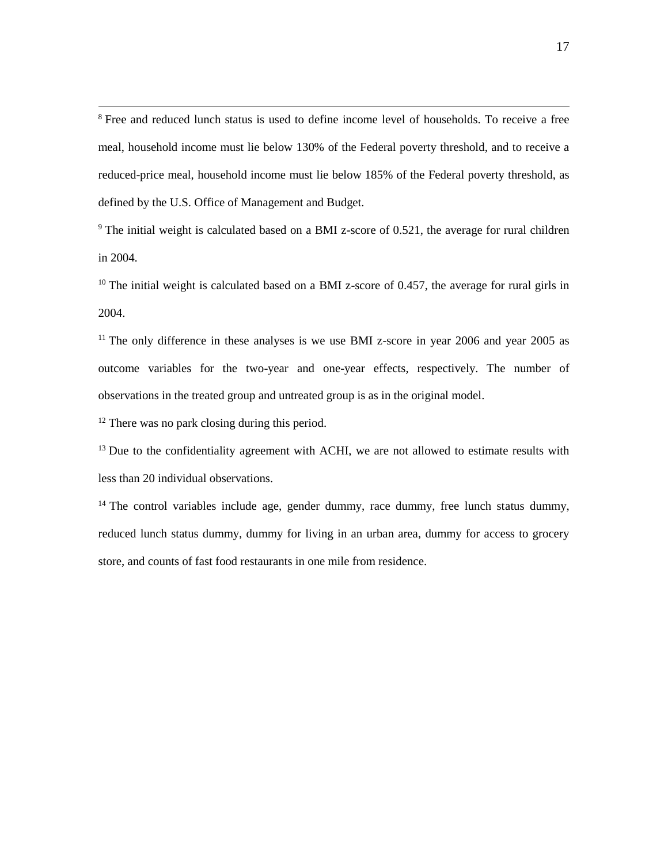<sup>8</sup> Free and reduced lunch status is used to define income level of households. To receive a free meal, household income must lie below 130% of the Federal poverty threshold, and to receive a reduced-price meal, household income must lie below 185% of the Federal poverty threshold, as defined by the U.S. Office of Management and Budget.

 $9$  The initial weight is calculated based on a BMI z-score of 0.521, the average for rural children in 2004.

 $10$  The initial weight is calculated based on a BMI z-score of 0.457, the average for rural girls in 2004.

 $11$  The only difference in these analyses is we use BMI z-score in year 2006 and year 2005 as outcome variables for the two-year and one-year effects, respectively. The number of observations in the treated group and untreated group is as in the original model.

 $12$  There was no park closing during this period.

 $\overline{\phantom{a}}$ 

 $13$  Due to the confidentiality agreement with ACHI, we are not allowed to estimate results with less than 20 individual observations.

 $14$  The control variables include age, gender dummy, race dummy, free lunch status dummy, reduced lunch status dummy, dummy for living in an urban area, dummy for access to grocery store, and counts of fast food restaurants in one mile from residence.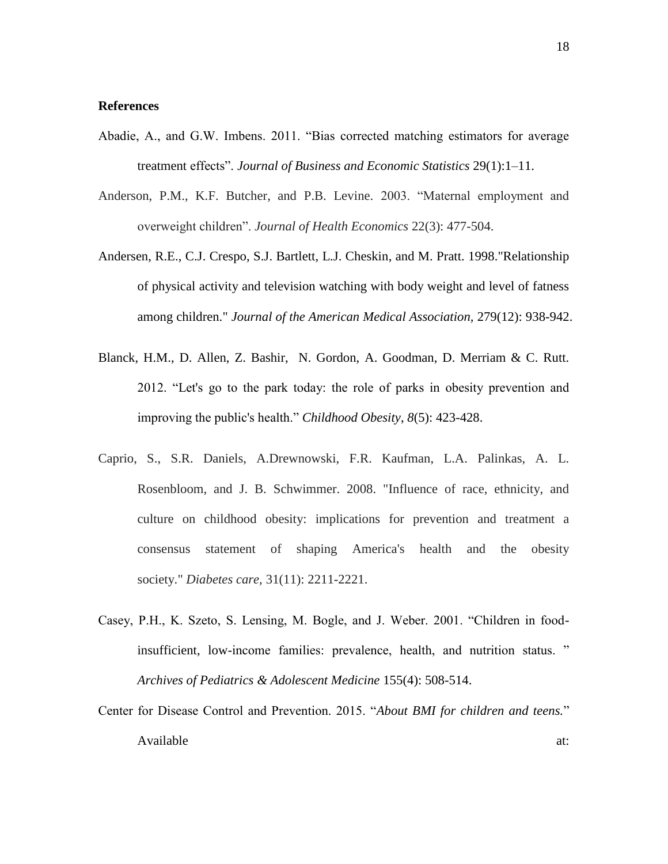#### **References**

- Abadie, A., and G.W. Imbens. 2011. "Bias corrected matching estimators for average treatment effects". *Journal of Business and Economic Statistics* 29(1):1–11.
- Anderson, P.M., K.F. Butcher, and P.B. Levine. 2003. "Maternal employment and overweight children". *Journal of Health Economics* 22(3): 477-504.
- Andersen, R.E., C.J. Crespo, S.J. Bartlett, L.J. Cheskin, and M. Pratt. 1998."Relationship of physical activity and television watching with body weight and level of fatness among children." *Journal of the American Medical Association,* 279(12): 938-942.
- Blanck, H.M., D. Allen, Z. Bashir, N. Gordon, A. Goodman, D. Merriam & C. Rutt. 2012. "Let's go to the park today: the role of parks in obesity prevention and improving the public's health." *Childhood Obesity*, *8*(5): 423-428.
- Caprio, S., S.R. Daniels, A.Drewnowski, F.R. Kaufman, L.A. Palinkas, A. L. Rosenbloom, and J. B. Schwimmer. 2008. "Influence of race, ethnicity, and culture on childhood obesity: implications for prevention and treatment a consensus statement of shaping America's health and the obesity society." *Diabetes care,* 31(11): 2211-2221.
- Casey, P.H., K. Szeto, S. Lensing, M. Bogle, and J. Weber. 2001. "Children in foodinsufficient, low-income families: prevalence, health, and nutrition status. " *Archives of Pediatrics & Adolescent Medicine* 155(4): 508-514.
- Center for Disease Control and Prevention. 2015. "*About BMI for children and teens.*" Available at:  $\overline{a}$  at:  $\overline{a}$  at:  $\overline{a}$  at:  $\overline{a}$  at:  $\overline{a}$  at: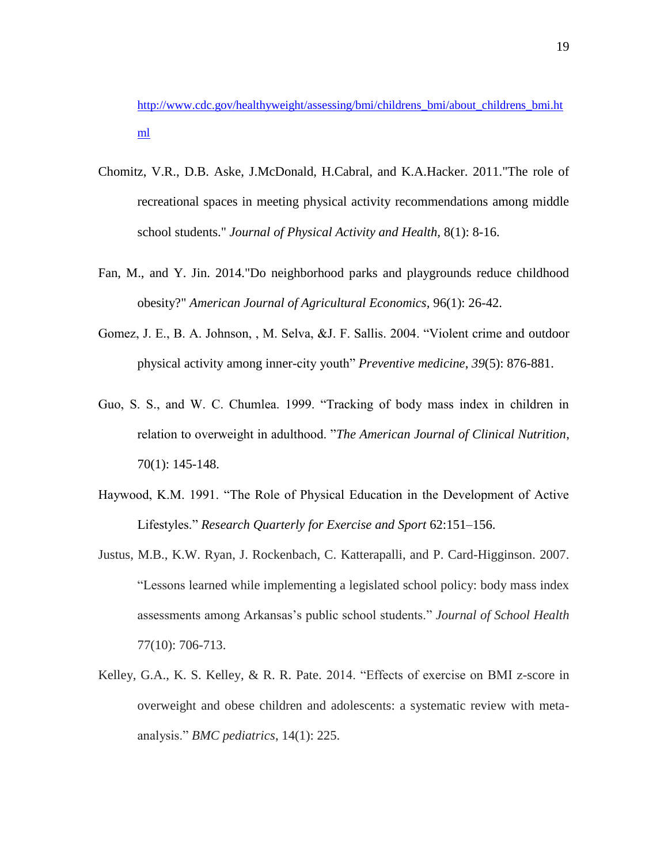[http://www.cdc.gov/healthyweight/assessing/bmi/childrens\\_bmi/about\\_childrens\\_bmi.ht](http://www.cdc.gov/healthyweight/assessing/bmi/childrens_bmi/about_childrens_bmi.html) [ml](http://www.cdc.gov/healthyweight/assessing/bmi/childrens_bmi/about_childrens_bmi.html)

- Chomitz, V.R., D.B. Aske, J.McDonald, H.Cabral, and K.A.Hacker. 2011."The role of recreational spaces in meeting physical activity recommendations among middle school students." *Journal of Physical Activity and Health,* 8(1): 8-16.
- Fan, M., and Y. Jin. 2014."Do neighborhood parks and playgrounds reduce childhood obesity?" *American Journal of Agricultural Economics,* 96(1): 26-42.
- Gomez, J. E., B. A. Johnson, , M. Selva, &J. F. Sallis. 2004. "Violent crime and outdoor physical activity among inner-city youth" *Preventive medicine*, *39*(5): 876-881.
- Guo, S. S., and W. C. Chumlea. 1999. "Tracking of body mass index in children in relation to overweight in adulthood. "*The American Journal of Clinical Nutrition*, 70(1): 145-148.
- Haywood, K.M. 1991. "The Role of Physical Education in the Development of Active Lifestyles." *Research Quarterly for Exercise and Sport* 62:151–156.
- Justus, M.B., K.W. Ryan, J. Rockenbach, C. Katterapalli, and P. Card-Higginson. 2007. "Lessons learned while implementing a legislated school policy: body mass index assessments among Arkansas's public school students." *Journal of School Health*  77(10): 706-713.
- Kelley, G.A., K. S. Kelley, & R. R. Pate. 2014. "Effects of exercise on BMI z-score in overweight and obese children and adolescents: a systematic review with metaanalysis." *BMC pediatrics*, 14(1): 225.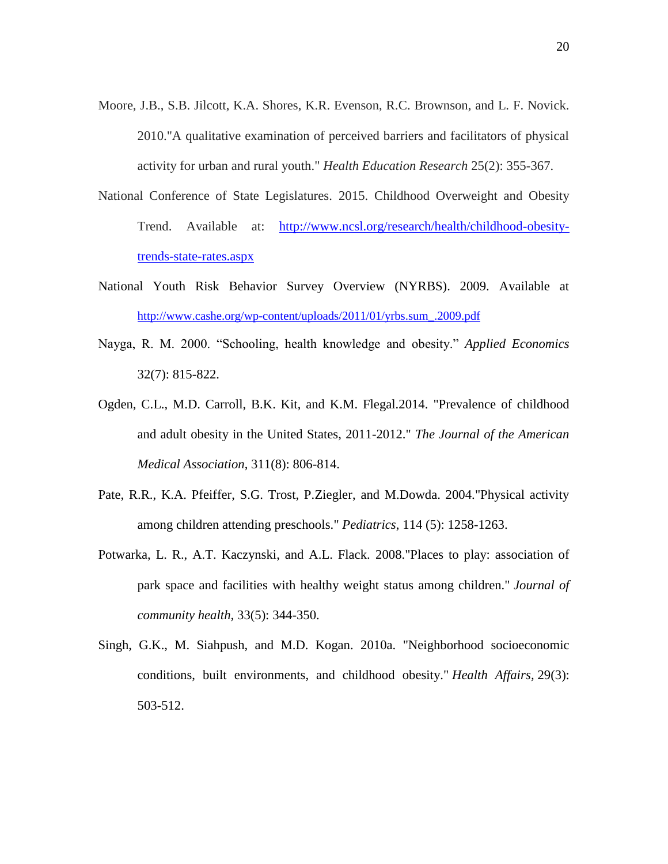- Moore, J.B., S.B. Jilcott, K.A. Shores, K.R. Evenson, R.C. Brownson, and L. F. Novick. 2010."A qualitative examination of perceived barriers and facilitators of physical activity for urban and rural youth." *Health Education Research* 25(2): 355-367.
- National Conference of State Legislatures. 2015. Childhood Overweight and Obesity Trend. Available at: [http://www.ncsl.org/research/health/childhood-obesity](http://www.ncsl.org/research/health/childhood-obesity-trends-state-rates.aspx)[trends-state-rates.aspx](http://www.ncsl.org/research/health/childhood-obesity-trends-state-rates.aspx)
- National Youth Risk Behavior Survey Overview (NYRBS). 2009. Available at [http://www.cashe.org/wp-content/uploads/2011/01/yrbs.sum\\_.2009.pdf](http://www.cashe.org/wp-content/uploads/2011/01/yrbs.sum_.2009.pdf)
- Nayga, R. M. 2000. "Schooling, health knowledge and obesity." *Applied Economics*  32(7): 815-822.
- Ogden, C.L., M.D. Carroll, B.K. Kit, and K.M. Flegal.2014. "Prevalence of childhood and adult obesity in the United States, 2011-2012." *The Journal of the American Medical Association*, 311(8): 806-814.
- Pate, R.R., K.A. Pfeiffer, S.G. Trost, P.Ziegler, and M.Dowda. 2004."Physical activity among children attending preschools." *Pediatrics*, 114 (5): 1258-1263.
- Potwarka, L. R., A.T. Kaczynski, and A.L. Flack. 2008."Places to play: association of park space and facilities with healthy weight status among children." *Journal of community health,* 33(5): 344-350.
- Singh, G.K., M. Siahpush, and M.D. Kogan. 2010a. "Neighborhood socioeconomic conditions, built environments, and childhood obesity." *Health Affairs,* 29(3): 503-512.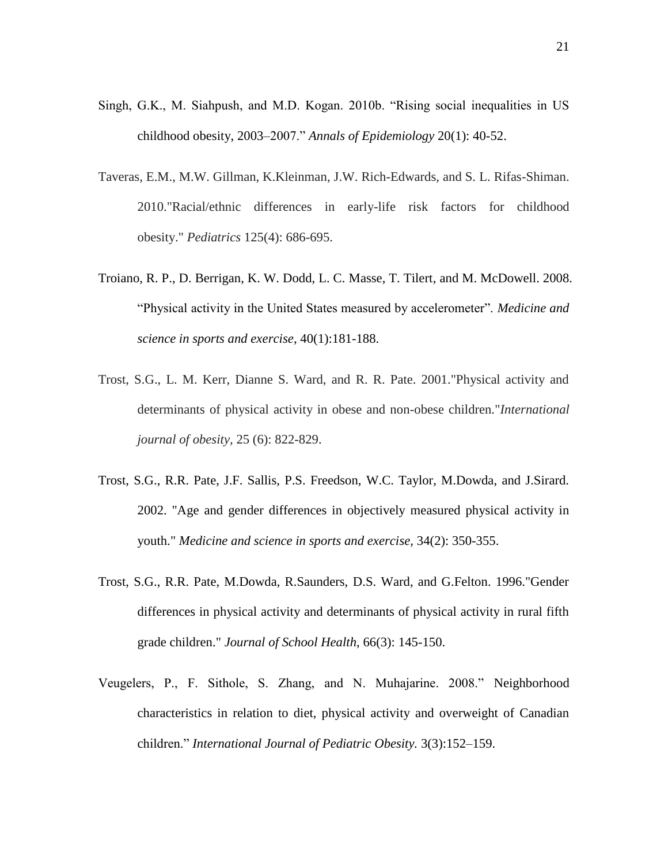- Singh, G.K., M. Siahpush, and M.D. Kogan. 2010b. "Rising social inequalities in US childhood obesity, 2003–2007." *Annals of Epidemiology* 20(1): 40-52.
- Taveras, E.M., M.W. Gillman, K.Kleinman, J.W. Rich-Edwards, and S. L. Rifas-Shiman. 2010."Racial/ethnic differences in early-life risk factors for childhood obesity." *Pediatrics* 125(4): 686-695.
- Troiano, R. P., D. Berrigan, K. W. Dodd, L. C. Masse, T. Tilert, and M. McDowell. 2008. "Physical activity in the United States measured by accelerometer". *Medicine and science in sports and exercise*, 40(1):181-188.
- Trost, S.G., L. M. Kerr, Dianne S. Ward, and R. R. Pate. 2001."Physical activity and determinants of physical activity in obese and non-obese children."*International journal of obesity,* 25 (6): 822-829.
- Trost, S.G., R.R. Pate, J.F. Sallis, P.S. Freedson, W.C. Taylor, M.Dowda, and J.Sirard. 2002. "Age and gender differences in objectively measured physical activity in youth." *Medicine and science in sports and exercise,* 34(2): 350-355.
- Trost, S.G., R.R. Pate, M.Dowda, R.Saunders, D.S. Ward, and G.Felton. 1996."Gender differences in physical activity and determinants of physical activity in rural fifth grade children." *Journal of School Health*, 66(3): 145-150.
- Veugelers, P., F. Sithole, S. Zhang, and N. Muhajarine. 2008." Neighborhood characteristics in relation to diet, physical activity and overweight of Canadian children." *International Journal of Pediatric Obesity.* 3(3):152–159.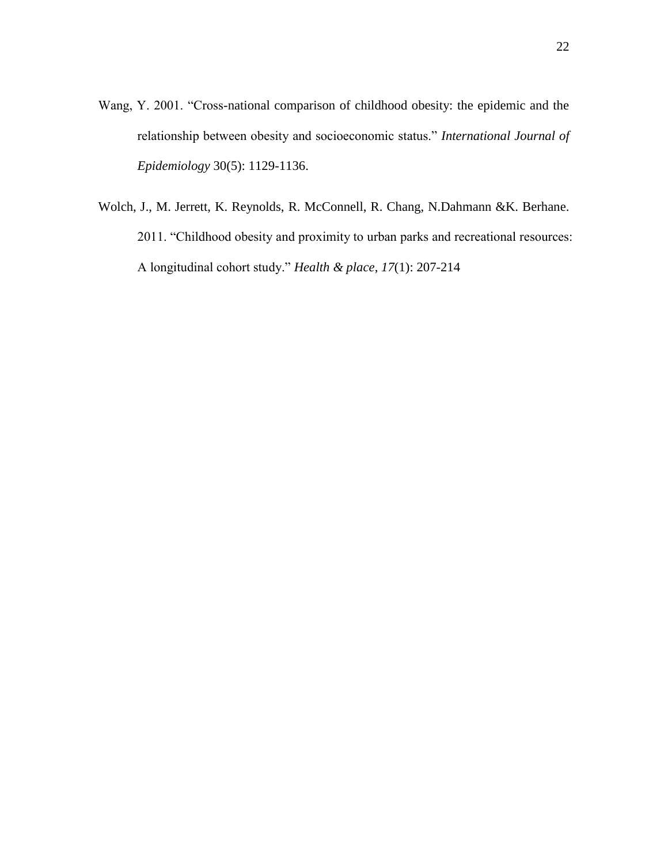- Wang, Y. 2001. "Cross-national comparison of childhood obesity: the epidemic and the relationship between obesity and socioeconomic status." *International Journal of Epidemiology* 30(5): 1129-1136.
- Wolch, J., M. Jerrett, K. Reynolds, R. McConnell, R. Chang, N.Dahmann &K. Berhane. 2011. "Childhood obesity and proximity to urban parks and recreational resources: A longitudinal cohort study." *Health & place*, *17*(1): 207-214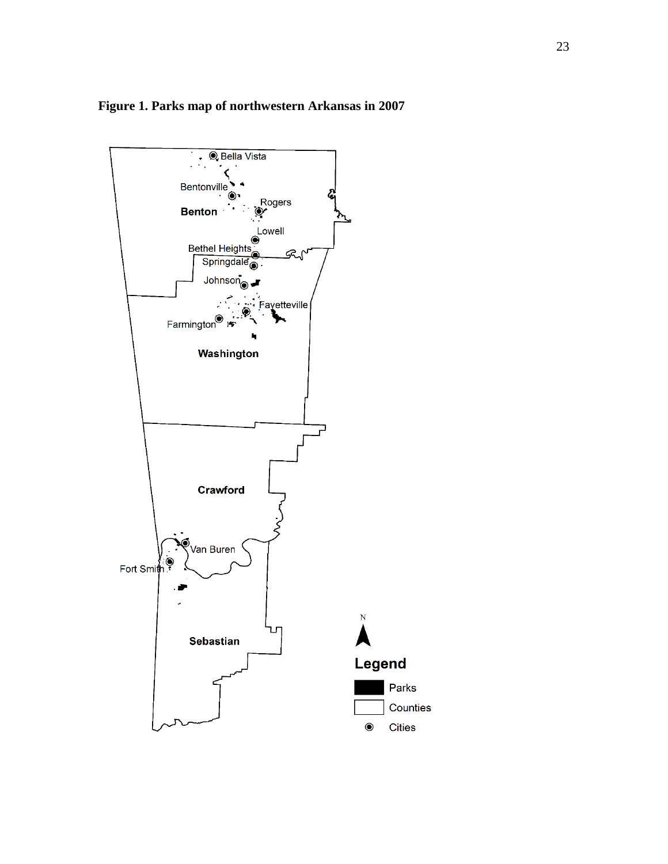

## **Figure 1. Parks map of northwestern Arkansas in 2007**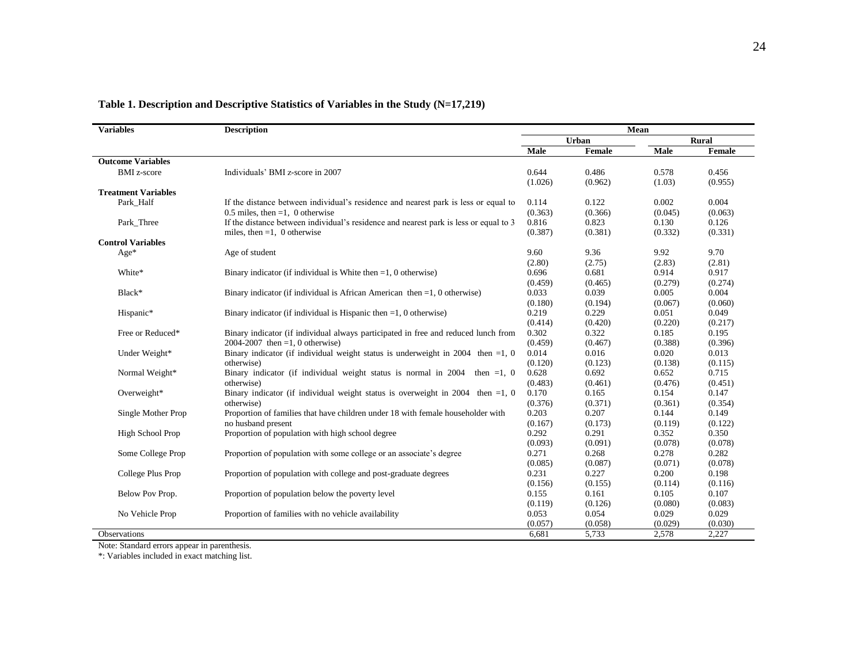| <b>Variables</b>           | <b>Description</b>                                                                    | Mean             |                  |                 |                  |
|----------------------------|---------------------------------------------------------------------------------------|------------------|------------------|-----------------|------------------|
|                            |                                                                                       | Urban            |                  | <b>Rural</b>    |                  |
|                            |                                                                                       | Male             | Female           | Male            | Female           |
| <b>Outcome Variables</b>   |                                                                                       |                  |                  |                 |                  |
| <b>BMI</b> z-score         | Individuals' BMI z-score in 2007                                                      | 0.644<br>(1.026) | 0.486<br>(0.962) | 0.578<br>(1.03) | 0.456<br>(0.955) |
| <b>Treatment Variables</b> |                                                                                       |                  |                  |                 |                  |
| Park Half                  | If the distance between individual's residence and nearest park is less or equal to   | 0.114            | 0.122            | 0.002           | 0.004            |
|                            | 0.5 miles, then $=1$ , 0 otherwise                                                    | (0.363)          | (0.366)          | (0.045)         | (0.063)          |
| Park Three                 | If the distance between individual's residence and nearest park is less or equal to 3 | 0.816            | 0.823            | 0.130           | 0.126            |
|                            | miles, then $=1$ , 0 otherwise                                                        | (0.387)          | (0.381)          | (0.332)         | (0.331)          |
| <b>Control Variables</b>   |                                                                                       |                  |                  |                 |                  |
| Age*                       | Age of student                                                                        | 9.60             | 9.36             | 9.92            | 9.70             |
|                            |                                                                                       | (2.80)           | (2.75)           | (2.83)          | (2.81)           |
| White*                     | Binary indicator (if individual is White then $=1$ , 0 otherwise)                     | 0.696            | 0.681            | 0.914           | 0.917            |
|                            |                                                                                       | (0.459)          | (0.465)          | (0.279)         | (0.274)          |
| Black*                     | Binary indicator (if individual is African American then $=1, 0$ otherwise)           | 0.033            | 0.039            | 0.005           | 0.004            |
|                            |                                                                                       | (0.180)          | (0.194)          | (0.067)         | (0.060)          |
| Hispanic*                  | Binary indicator (if individual is Hispanic then $=1$ , 0 otherwise)                  | 0.219            | 0.229            | 0.051           | 0.049            |
|                            |                                                                                       | (0.414)          | (0.420)          | (0.220)         | (0.217)          |
| Free or Reduced*           | Binary indicator (if individual always participated in free and reduced lunch from    | 0.302            | 0.322            | 0.185           | 0.195            |
|                            | 2004-2007 then =1, 0 otherwise)                                                       | (0.459)          | (0.467)          | (0.388)         | (0.396)          |
| Under Weight*              | Binary indicator (if individual weight status is underweight in 2004 then $=1, 0$     | 0.014            | 0.016            | 0.020           | 0.013            |
|                            | otherwise)                                                                            | (0.120)          | (0.123)          | (0.138)         | (0.115)          |
| Normal Weight*             | Binary indicator (if individual weight status is normal in $2004$ then =1, 0          | 0.628            | 0.692            | 0.652           | 0.715            |
|                            | otherwise)                                                                            | (0.483)          | (0.461)          | (0.476)         | (0.451)          |
| Overweight*                | Binary indicator (if individual weight status is overweight in 2004 then $=1$ , 0     | 0.170            | 0.165            | 0.154           | 0.147            |
|                            | otherwise)                                                                            | (0.376)          | (0.371)          | (0.361)         | (0.354)          |
| Single Mother Prop         | Proportion of families that have children under 18 with female householder with       | 0.203            | 0.207            | 0.144           | 0.149            |
|                            | no husband present                                                                    | (0.167)          | (0.173)          | (0.119)         | (0.122)          |
| High School Prop           | Proportion of population with high school degree                                      | 0.292            | 0.291            | 0.352           | 0.350            |
|                            |                                                                                       | (0.093)          | (0.091)          | (0.078)         | (0.078)          |
| Some College Prop          | Proportion of population with some college or an associate's degree                   | 0.271            | 0.268            | 0.278           | 0.282            |
|                            |                                                                                       | (0.085)          | (0.087)          | (0.071)         | (0.078)          |
| College Plus Prop          | Proportion of population with college and post-graduate degrees                       | 0.231            | 0.227            | 0.200           | 0.198            |
|                            |                                                                                       | (0.156)          | (0.155)          | (0.114)         | (0.116)          |
| Below Pov Prop.            | Proportion of population below the poverty level                                      | 0.155            | 0.161            | 0.105           | 0.107            |
|                            |                                                                                       | (0.119)          | (0.126)          | (0.080)         | (0.083)          |
| No Vehicle Prop            | Proportion of families with no vehicle availability                                   | 0.053            | 0.054            | 0.029           | 0.029            |
|                            |                                                                                       | (0.057)          | (0.058)          | (0.029)         | (0.030)          |
| <b>Observations</b>        |                                                                                       | 6,681            | 5,733            | 2,578           | 2,227            |

### **Table 1. Description and Descriptive Statistics of Variables in the Study (N=17,219)**

Note: Standard errors appear in parenthesis.

\*: Variables included in exact matching list.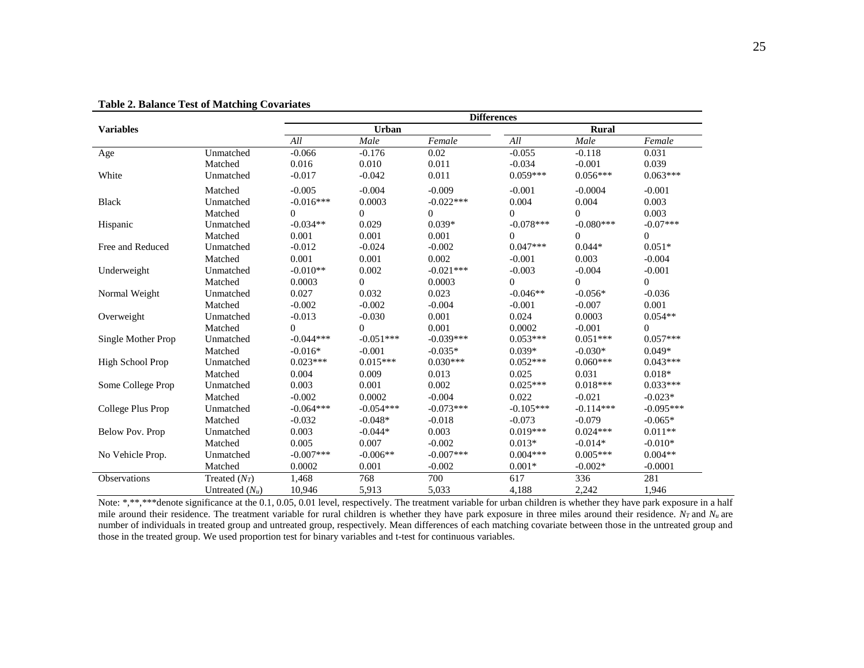|                    |                   | <b>Differences</b> |             |              |                |                |              |
|--------------------|-------------------|--------------------|-------------|--------------|----------------|----------------|--------------|
| <b>Variables</b>   |                   | Urban              |             | <b>Rural</b> |                |                |              |
|                    |                   | All                | Male        | Female       | All            | Male           | Female       |
| Age                | Unmatched         | $-0.066$           | $-0.176$    | 0.02         | $-0.055$       | $-0.118$       | 0.031        |
|                    | Matched           | 0.016              | 0.010       | 0.011        | $-0.034$       | $-0.001$       | 0.039        |
| White              | Unmatched         | $-0.017$           | $-0.042$    | 0.011        | $0.059***$     | $0.056***$     | $0.063***$   |
|                    | Matched           | $-0.005$           | $-0.004$    | $-0.009$     | $-0.001$       | $-0.0004$      | $-0.001$     |
| <b>Black</b>       | Unmatched         | $-0.016***$        | 0.0003      | $-0.022***$  | 0.004          | 0.004          | 0.003        |
|                    | Matched           | $\Omega$           | $\Omega$    | $\Omega$     | $\Omega$       | $\Omega$       | 0.003        |
| Hispanic           | Unmatched         | $-0.034**$         | 0.029       | $0.039*$     | $-0.078***$    | $-0.080***$    | $-0.07***$   |
|                    | Matched           | 0.001              | 0.001       | 0.001        | $\overline{0}$ | $\overline{0}$ | $\mathbf{0}$ |
| Free and Reduced   | Unmatched         | $-0.012$           | $-0.024$    | $-0.002$     | $0.047***$     | $0.044*$       | $0.051*$     |
|                    | Matched           | 0.001              | 0.001       | 0.002        | $-0.001$       | 0.003          | $-0.004$     |
| Underweight        | Unmatched         | $-0.010**$         | 0.002       | $-0.021***$  | $-0.003$       | $-0.004$       | $-0.001$     |
|                    | Matched           | 0.0003             | $\Omega$    | 0.0003       | $\Omega$       | $\Omega$       | $\Omega$     |
| Normal Weight      | Unmatched         | 0.027              | 0.032       | 0.023        | $-0.046**$     | $-0.056*$      | $-0.036$     |
|                    | Matched           | $-0.002$           | $-0.002$    | $-0.004$     | $-0.001$       | $-0.007$       | 0.001        |
| Overweight         | Unmatched         | $-0.013$           | $-0.030$    | 0.001        | 0.024          | 0.0003         | $0.054**$    |
|                    | Matched           | $\Omega$           | $\Omega$    | 0.001        | 0.0002         | $-0.001$       | $\Omega$     |
| Single Mother Prop | Unmatched         | $-0.044***$        | $-0.051***$ | $-0.039***$  | $0.053***$     | $0.051***$     | $0.057***$   |
|                    | Matched           | $-0.016*$          | $-0.001$    | $-0.035*$    | $0.039*$       | $-0.030*$      | $0.049*$     |
| High School Prop   | Unmatched         | $0.023***$         | $0.015***$  | $0.030***$   | $0.052***$     | $0.060***$     | $0.043***$   |
|                    | Matched           | 0.004              | 0.009       | 0.013        | 0.025          | 0.031          | $0.018*$     |
| Some College Prop  | Unmatched         | 0.003              | 0.001       | 0.002        | $0.025***$     | $0.018***$     | $0.033***$   |
|                    | Matched           | $-0.002$           | 0.0002      | $-0.004$     | 0.022          | $-0.021$       | $-0.023*$    |
| College Plus Prop  | Unmatched         | $-0.064***$        | $-0.054***$ | $-0.073***$  | $-0.105***$    | $-0.114***$    | $-0.095***$  |
|                    | Matched           | $-0.032$           | $-0.048*$   | $-0.018$     | $-0.073$       | $-0.079$       | $-0.065*$    |
| Below Pov. Prop    | Unmatched         | 0.003              | $-0.044*$   | 0.003        | $0.019***$     | $0.024***$     | $0.011**$    |
|                    | Matched           | 0.005              | 0.007       | $-0.002$     | $0.013*$       | $-0.014*$      | $-0.010*$    |
| No Vehicle Prop.   | Unmatched         | $-0.007***$        | $-0.006**$  | $-0.007$ *** | $0.004***$     | $0.005***$     | $0.004**$    |
|                    | Matched           | 0.0002             | 0.001       | $-0.002$     | $0.001*$       | $-0.002*$      | $-0.0001$    |
| Observations       | Treated $(N_T)$   | 1,468              | 768         | 700          | 617            | 336            | 281          |
|                    | Untreated $(N_u)$ | 10,946             | 5,913       | 5,033        | 4,188          | 2,242          | 1,946        |

**Table 2. Balance Test of Matching Covariates**

Note: \*,\*\*,\*\*\*denote significance at the 0.1, 0.05, 0.01 level, respectively. The treatment variable for urban children is whether they have park exposure in a half mile around their residence. The treatment variable for rural children is whether they have park exposure in three miles around their residence. *NT* and *N<sup>u</sup>* are number of individuals in treated group and untreated group, respectively. Mean differences of each matching covariate between those in the untreated group and those in the treated group. We used proportion test for binary variables and t-test for continuous variables.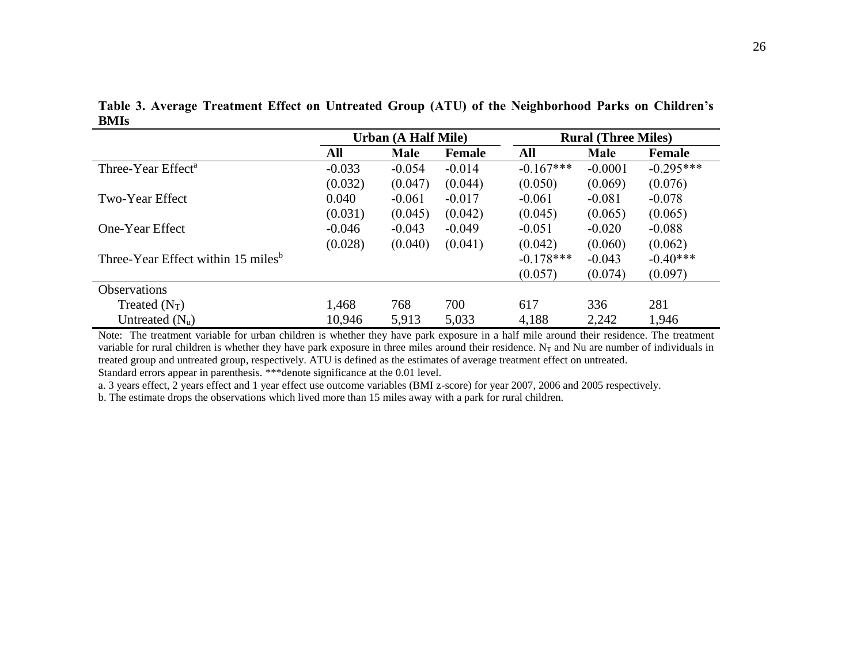|                                                | <b>Urban (A Half Mile)</b> |             |               | <b>Rural (Three Miles)</b> |             |               |
|------------------------------------------------|----------------------------|-------------|---------------|----------------------------|-------------|---------------|
|                                                | All                        | <b>Male</b> | <b>Female</b> | All                        | <b>Male</b> | <b>Female</b> |
| Three-Year Effect <sup>a</sup>                 | $-0.033$                   | $-0.054$    | $-0.014$      | $-0.167***$                | $-0.0001$   | $-0.295***$   |
|                                                | (0.032)                    | (0.047)     | (0.044)       | (0.050)                    | (0.069)     | (0.076)       |
| Two-Year Effect                                | 0.040                      | $-0.061$    | $-0.017$      | $-0.061$                   | $-0.081$    | $-0.078$      |
|                                                | (0.031)                    | (0.045)     | (0.042)       | (0.045)                    | (0.065)     | (0.065)       |
| One-Year Effect                                | $-0.046$                   | $-0.043$    | $-0.049$      | $-0.051$                   | $-0.020$    | $-0.088$      |
|                                                | (0.028)                    | (0.040)     | (0.041)       | (0.042)                    | (0.060)     | (0.062)       |
| Three-Year Effect within 15 miles <sup>b</sup> |                            |             |               | $-0.178***$                | $-0.043$    | $-0.40***$    |
|                                                |                            |             |               | (0.057)                    | (0.074)     | (0.097)       |
| <b>Observations</b>                            |                            |             |               |                            |             |               |
| Treated $(N_T)$                                | 1,468                      | 768         | 700           | 617                        | 336         | 281           |
| Untreated $(N_u)$                              | 10,946                     | 5,913       | 5,033         | 4,188                      | 2,242       | 1,946         |

**Table 3. Average Treatment Effect on Untreated Group (ATU) of the Neighborhood Parks on Children's BMIs** 

Note: The treatment variable for urban children is whether they have park exposure in a half mile around their residence. The treatment variable for rural children is whether they have park exposure in three miles around their residence.  $N_T$  and Nu are number of individuals in treated group and untreated group, respectively. ATU is defined as the estimates of average treatment effect on untreated. Standard errors appear in parenthesis. \*\*\*denote significance at the 0.01 level.

a. 3 years effect, 2 years effect and 1 year effect use outcome variables (BMI z-score) for year 2007, 2006 and 2005 respectively.

b. The estimate drops the observations which lived more than 15 miles away with a park for rural children.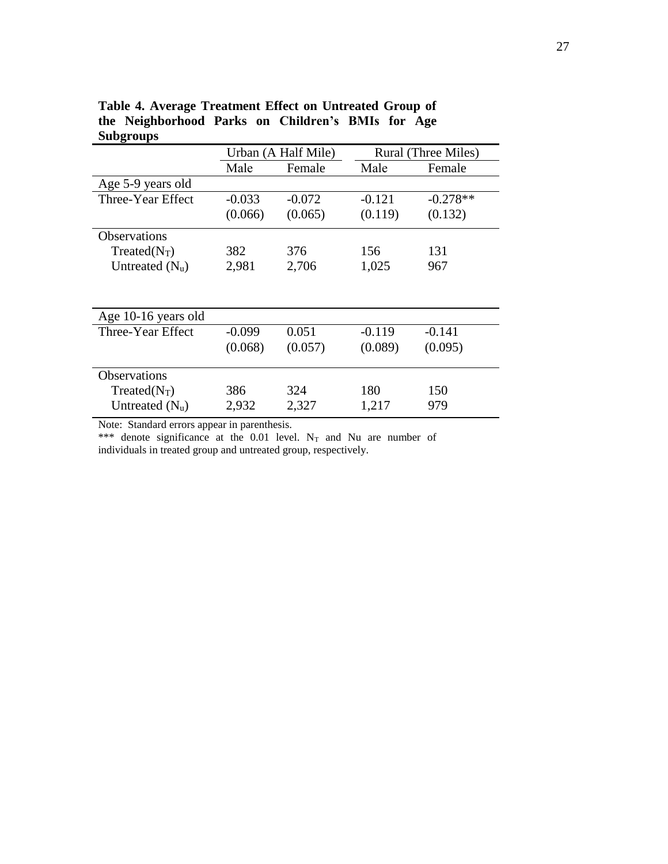| o                   |          | Urban (A Half Mile) | Rural (Three Miles) |            |  |
|---------------------|----------|---------------------|---------------------|------------|--|
|                     | Male     | Female              | Male                | Female     |  |
| Age 5-9 years old   |          |                     |                     |            |  |
| Three-Year Effect   | $-0.033$ | $-0.072$            | $-0.121$            | $-0.278**$ |  |
|                     | (0.066)  | (0.065)             | (0.119)             | (0.132)    |  |
| Observations        |          |                     |                     |            |  |
| $Treated(N_T)$      | 382      | 376                 | 156                 | 131        |  |
| Untreated $(N_u)$   | 2,981    | 2,706               | 1,025               | 967        |  |
|                     |          |                     |                     |            |  |
| Age 10-16 years old |          |                     |                     |            |  |
| Three-Year Effect   | $-0.099$ | 0.051               | $-0.119$            | $-0.141$   |  |
|                     | (0.068)  | (0.057)             | (0.089)             | (0.095)    |  |
| <b>Observations</b> |          |                     |                     |            |  |
| $Treated(N_T)$      | 386      | 324                 | 180                 | 150        |  |
| Untreated $(N_u)$   | 2,932    | 2,327               | 1,217               | 979        |  |

**Table 4. Average Treatment Effect on Untreated Group of the Neighborhood Parks on Children's BMIs for Age Subgroups**

Note: Standard errors appear in parenthesis.

\*\*\* denote significance at the  $0.01$  level. N<sub>T</sub> and Nu are number of individuals in treated group and untreated group, respectively.